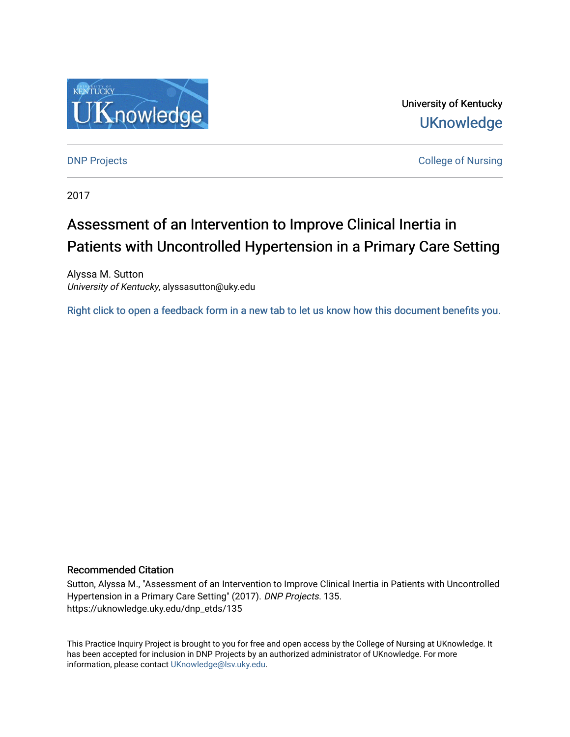

University of Kentucky **UKnowledge** 

[DNP Projects](https://uknowledge.uky.edu/dnp_etds) **College of Nursing** 

2017

# Assessment of an Intervention to Improve Clinical Inertia in Patients with Uncontrolled Hypertension in a Primary Care Setting

Alyssa M. Sutton University of Kentucky, alyssasutton@uky.edu

[Right click to open a feedback form in a new tab to let us know how this document benefits you.](https://uky.az1.qualtrics.com/jfe/form/SV_9mq8fx2GnONRfz7)

## Recommended Citation

Sutton, Alyssa M., "Assessment of an Intervention to Improve Clinical Inertia in Patients with Uncontrolled Hypertension in a Primary Care Setting" (2017). DNP Projects. 135. https://uknowledge.uky.edu/dnp\_etds/135

This Practice Inquiry Project is brought to you for free and open access by the College of Nursing at UKnowledge. It has been accepted for inclusion in DNP Projects by an authorized administrator of UKnowledge. For more information, please contact [UKnowledge@lsv.uky.edu](mailto:UKnowledge@lsv.uky.edu).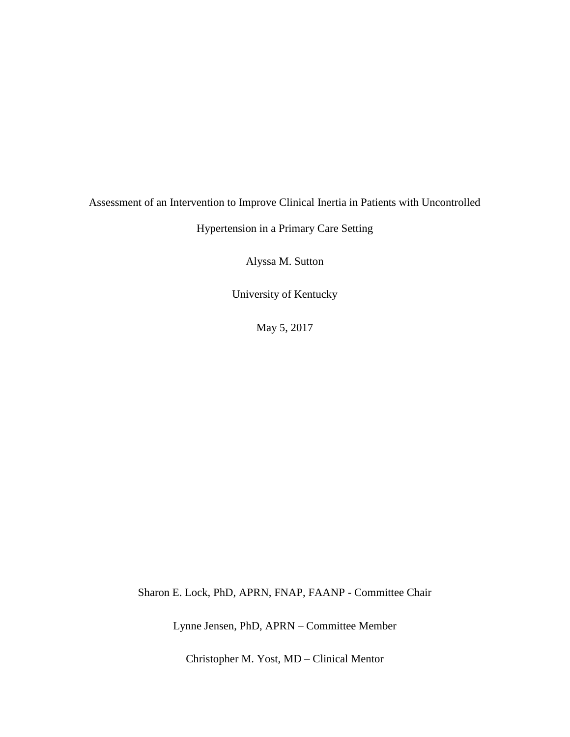# Assessment of an Intervention to Improve Clinical Inertia in Patients with Uncontrolled

Hypertension in a Primary Care Setting

Alyssa M. Sutton

University of Kentucky

May 5, 2017

Sharon E. Lock, PhD, APRN, FNAP, FAANP - Committee Chair

Lynne Jensen, PhD, APRN – Committee Member

Christopher M. Yost, MD – Clinical Mentor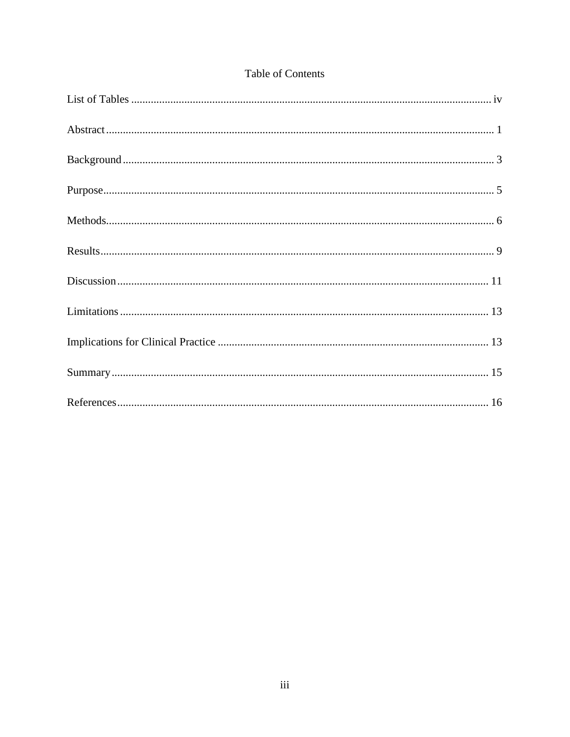| <b>Table of Contents</b> |
|--------------------------|
|                          |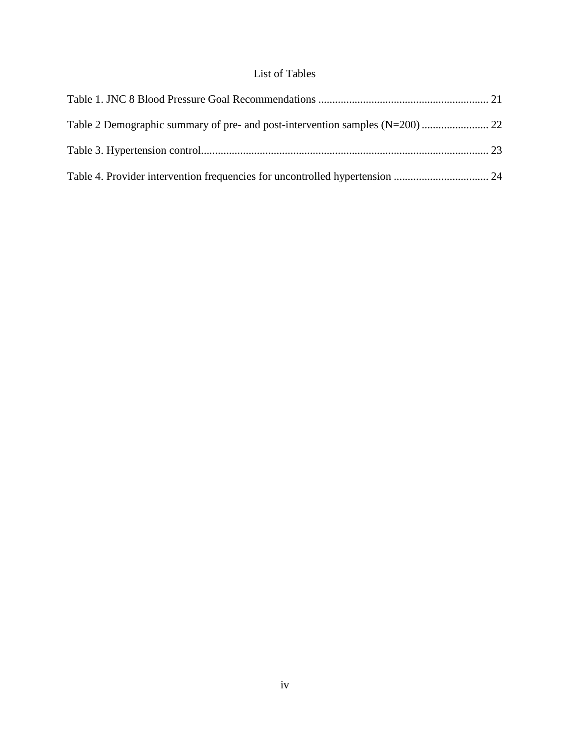## List of Tables

<span id="page-3-0"></span>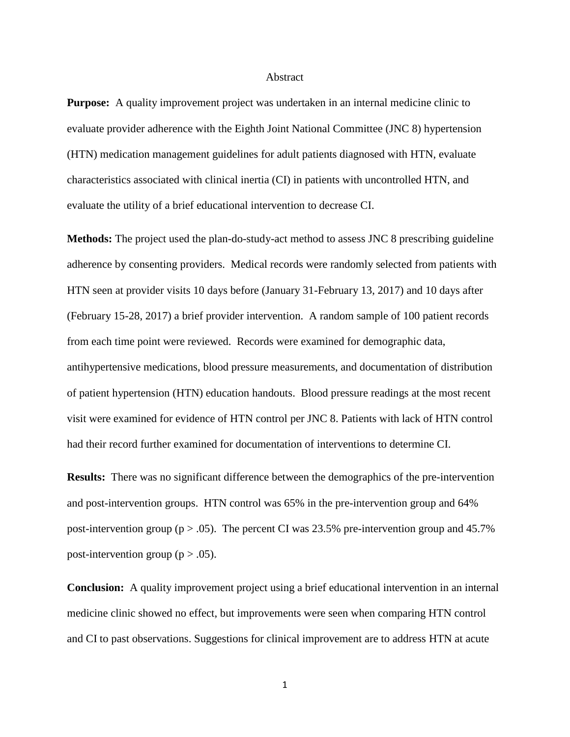#### Abstract

<span id="page-4-0"></span>**Purpose:** A quality improvement project was undertaken in an internal medicine clinic to evaluate provider adherence with the Eighth Joint National Committee (JNC 8) hypertension (HTN) medication management guidelines for adult patients diagnosed with HTN, evaluate characteristics associated with clinical inertia (CI) in patients with uncontrolled HTN, and evaluate the utility of a brief educational intervention to decrease CI.

**Methods:** The project used the plan-do-study-act method to assess JNC 8 prescribing guideline adherence by consenting providers. Medical records were randomly selected from patients with HTN seen at provider visits 10 days before (January 31-February 13, 2017) and 10 days after (February 15-28, 2017) a brief provider intervention. A random sample of 100 patient records from each time point were reviewed. Records were examined for demographic data, antihypertensive medications, blood pressure measurements, and documentation of distribution of patient hypertension (HTN) education handouts. Blood pressure readings at the most recent visit were examined for evidence of HTN control per JNC 8. Patients with lack of HTN control had their record further examined for documentation of interventions to determine CI.

**Results:** There was no significant difference between the demographics of the pre-intervention and post-intervention groups. HTN control was 65% in the pre-intervention group and 64% post-intervention group ( $p > .05$ ). The percent CI was 23.5% pre-intervention group and 45.7% post-intervention group ( $p > .05$ ).

**Conclusion:** A quality improvement project using a brief educational intervention in an internal medicine clinic showed no effect, but improvements were seen when comparing HTN control and CI to past observations. Suggestions for clinical improvement are to address HTN at acute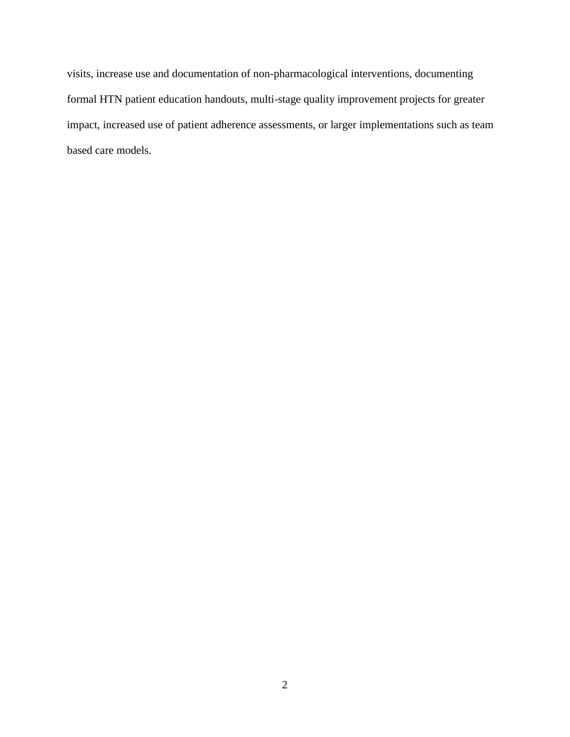visits, increase use and documentation of non-pharmacological interventions, documenting formal HTN patient education handouts, multi-stage quality improvement projects for greater impact, increased use of patient adherence assessments, or larger implementations such as team based care models.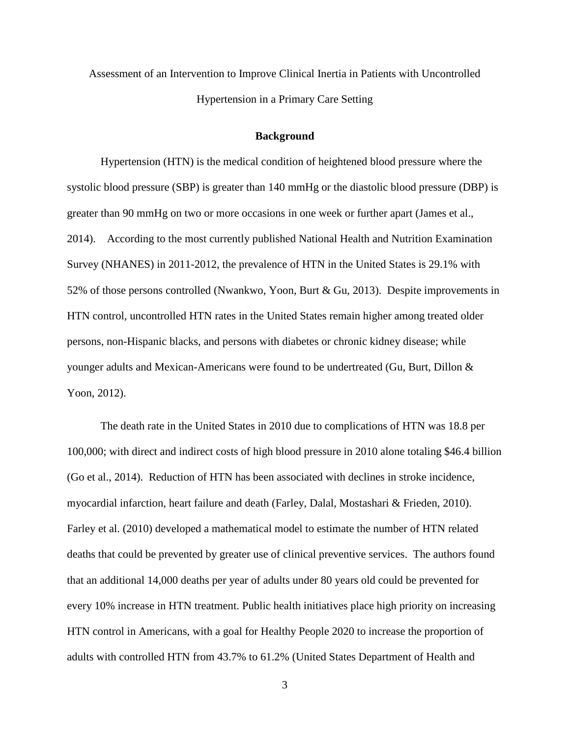Assessment of an Intervention to Improve Clinical Inertia in Patients with Uncontrolled Hypertension in a Primary Care Setting

### **Background**

<span id="page-6-0"></span>Hypertension (HTN) is the medical condition of heightened blood pressure where the systolic blood pressure (SBP) is greater than 140 mmHg or the diastolic blood pressure (DBP) is greater than 90 mmHg on two or more occasions in one week or further apart (James et al., 2014). According to the most currently published National Health and Nutrition Examination Survey (NHANES) in 2011-2012, the prevalence of HTN in the United States is 29.1% with 52% of those persons controlled (Nwankwo, Yoon, Burt & Gu, 2013). Despite improvements in HTN control, uncontrolled HTN rates in the United States remain higher among treated older persons, non-Hispanic blacks, and persons with diabetes or chronic kidney disease; while younger adults and Mexican-Americans were found to be undertreated (Gu, Burt, Dillon & Yoon, 2012).

The death rate in the United States in 2010 due to complications of HTN was 18.8 per 100,000; with direct and indirect costs of high blood pressure in 2010 alone totaling \$46.4 billion (Go et al., 2014). Reduction of HTN has been associated with declines in stroke incidence, myocardial infarction, heart failure and death (Farley, Dalal, Mostashari & Frieden, 2010). Farley et al. (2010) developed a mathematical model to estimate the number of HTN related deaths that could be prevented by greater use of clinical preventive services. The authors found that an additional 14,000 deaths per year of adults under 80 years old could be prevented for every 10% increase in HTN treatment. Public health initiatives place high priority on increasing HTN control in Americans, with a goal for Healthy People 2020 to increase the proportion of adults with controlled HTN from 43.7% to 61.2% (United States Department of Health and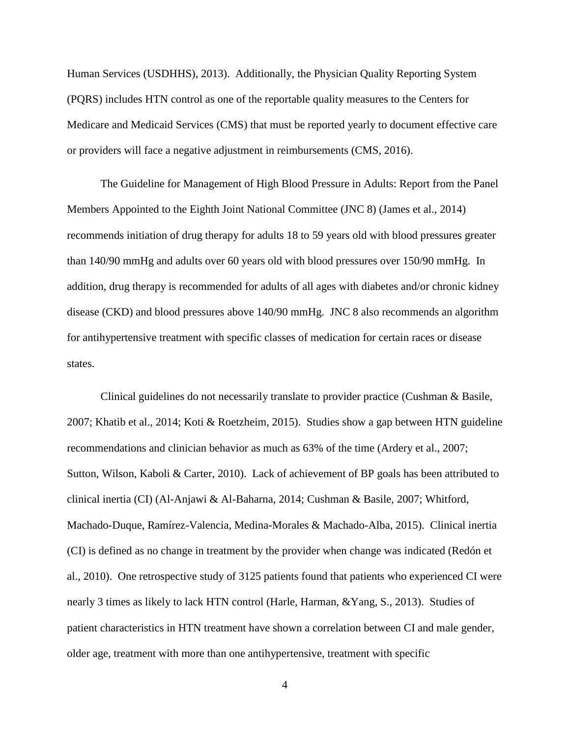Human Services (USDHHS), 2013). Additionally, the Physician Quality Reporting System (PQRS) includes HTN control as one of the reportable quality measures to the Centers for Medicare and Medicaid Services (CMS) that must be reported yearly to document effective care or providers will face a negative adjustment in reimbursements (CMS, 2016).

The Guideline for Management of High Blood Pressure in Adults: Report from the Panel Members Appointed to the Eighth Joint National Committee (JNC 8) (James et al., 2014) recommends initiation of drug therapy for adults 18 to 59 years old with blood pressures greater than 140/90 mmHg and adults over 60 years old with blood pressures over 150/90 mmHg. In addition, drug therapy is recommended for adults of all ages with diabetes and/or chronic kidney disease (CKD) and blood pressures above 140/90 mmHg. JNC 8 also recommends an algorithm for antihypertensive treatment with specific classes of medication for certain races or disease states.

Clinical guidelines do not necessarily translate to provider practice (Cushman & Basile, 2007; Khatib et al., 2014; Koti & Roetzheim, 2015). Studies show a gap between HTN guideline recommendations and clinician behavior as much as 63% of the time (Ardery et al., 2007; Sutton, Wilson, Kaboli & Carter, 2010). Lack of achievement of BP goals has been attributed to clinical inertia (CI) (Al-Anjawi & Al-Baharna, 2014; Cushman & Basile, 2007; Whitford, Machado-Duque, Ramírez-Valencia, Medina-Morales & Machado-Alba, 2015). Clinical inertia (CI) is defined as no change in treatment by the provider when change was indicated (Redón et al., 2010). One retrospective study of 3125 patients found that patients who experienced CI were nearly 3 times as likely to lack HTN control (Harle, Harman, &Yang, S., 2013). Studies of patient characteristics in HTN treatment have shown a correlation between CI and male gender, older age, treatment with more than one antihypertensive, treatment with specific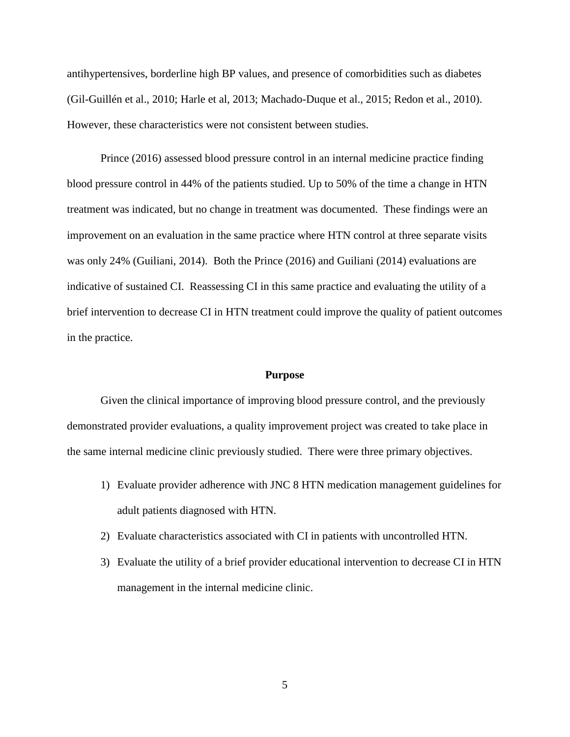antihypertensives, borderline high BP values, and presence of comorbidities such as diabetes (Gil-Guillén et al., 2010; Harle et al, 2013; Machado-Duque et al., 2015; Redon et al., 2010). However, these characteristics were not consistent between studies.

Prince (2016) assessed blood pressure control in an internal medicine practice finding blood pressure control in 44% of the patients studied. Up to 50% of the time a change in HTN treatment was indicated, but no change in treatment was documented. These findings were an improvement on an evaluation in the same practice where HTN control at three separate visits was only 24% (Guiliani, 2014). Both the Prince (2016) and Guiliani (2014) evaluations are indicative of sustained CI. Reassessing CI in this same practice and evaluating the utility of a brief intervention to decrease CI in HTN treatment could improve the quality of patient outcomes in the practice.

## **Purpose**

<span id="page-8-0"></span>Given the clinical importance of improving blood pressure control, and the previously demonstrated provider evaluations, a quality improvement project was created to take place in the same internal medicine clinic previously studied. There were three primary objectives.

- 1) Evaluate provider adherence with JNC 8 HTN medication management guidelines for adult patients diagnosed with HTN.
- 2) Evaluate characteristics associated with CI in patients with uncontrolled HTN.
- <span id="page-8-1"></span>3) Evaluate the utility of a brief provider educational intervention to decrease CI in HTN management in the internal medicine clinic.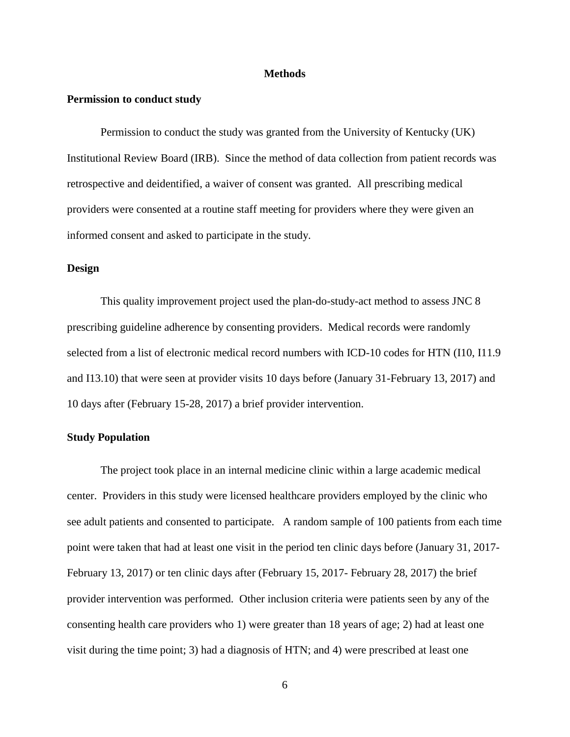## **Methods**

## **Permission to conduct study**

Permission to conduct the study was granted from the University of Kentucky (UK) Institutional Review Board (IRB). Since the method of data collection from patient records was retrospective and deidentified, a waiver of consent was granted. All prescribing medical providers were consented at a routine staff meeting for providers where they were given an informed consent and asked to participate in the study.

## **Design**

This quality improvement project used the plan-do-study-act method to assess JNC 8 prescribing guideline adherence by consenting providers. Medical records were randomly selected from a list of electronic medical record numbers with ICD-10 codes for HTN (I10, I11.9 and I13.10) that were seen at provider visits 10 days before (January 31-February 13, 2017) and 10 days after (February 15-28, 2017) a brief provider intervention.

## **Study Population**

The project took place in an internal medicine clinic within a large academic medical center. Providers in this study were licensed healthcare providers employed by the clinic who see adult patients and consented to participate. A random sample of 100 patients from each time point were taken that had at least one visit in the period ten clinic days before (January 31, 2017- February 13, 2017) or ten clinic days after (February 15, 2017- February 28, 2017) the brief provider intervention was performed. Other inclusion criteria were patients seen by any of the consenting health care providers who 1) were greater than 18 years of age; 2) had at least one visit during the time point; 3) had a diagnosis of HTN; and 4) were prescribed at least one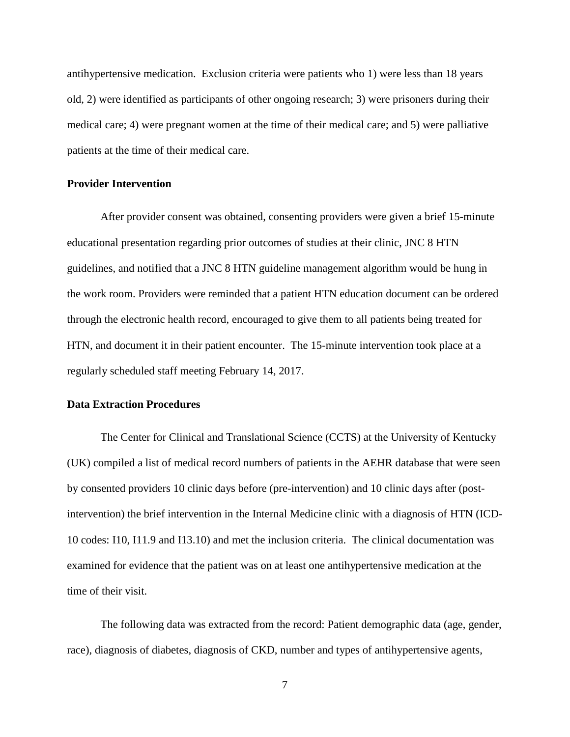antihypertensive medication. Exclusion criteria were patients who 1) were less than 18 years old, 2) were identified as participants of other ongoing research; 3) were prisoners during their medical care; 4) were pregnant women at the time of their medical care; and 5) were palliative patients at the time of their medical care.

## **Provider Intervention**

After provider consent was obtained, consenting providers were given a brief 15-minute educational presentation regarding prior outcomes of studies at their clinic, JNC 8 HTN guidelines, and notified that a JNC 8 HTN guideline management algorithm would be hung in the work room. Providers were reminded that a patient HTN education document can be ordered through the electronic health record, encouraged to give them to all patients being treated for HTN, and document it in their patient encounter. The 15-minute intervention took place at a regularly scheduled staff meeting February 14, 2017.

## **Data Extraction Procedures**

The Center for Clinical and Translational Science (CCTS) at the University of Kentucky (UK) compiled a list of medical record numbers of patients in the AEHR database that were seen by consented providers 10 clinic days before (pre-intervention) and 10 clinic days after (postintervention) the brief intervention in the Internal Medicine clinic with a diagnosis of HTN (ICD-10 codes: I10, I11.9 and I13.10) and met the inclusion criteria. The clinical documentation was examined for evidence that the patient was on at least one antihypertensive medication at the time of their visit.

The following data was extracted from the record: Patient demographic data (age, gender, race), diagnosis of diabetes, diagnosis of CKD, number and types of antihypertensive agents,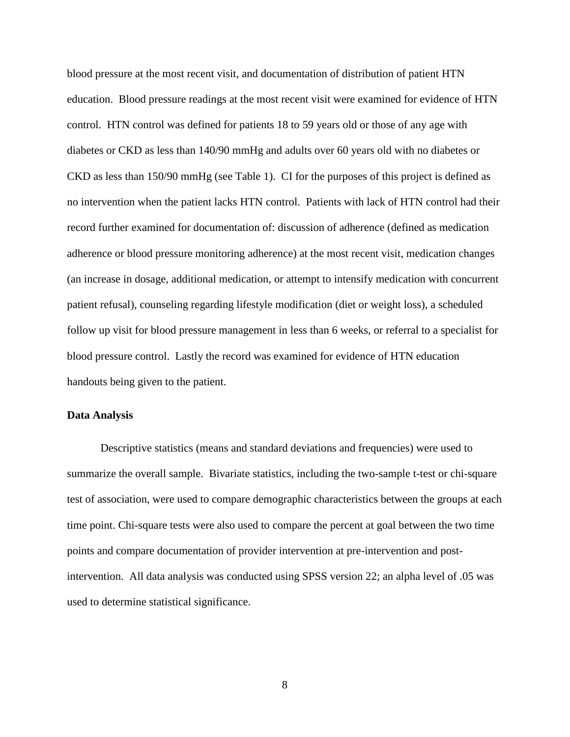blood pressure at the most recent visit, and documentation of distribution of patient HTN education. Blood pressure readings at the most recent visit were examined for evidence of HTN control. HTN control was defined for patients 18 to 59 years old or those of any age with diabetes or CKD as less than 140/90 mmHg and adults over 60 years old with no diabetes or CKD as less than 150/90 mmHg (see Table 1). CI for the purposes of this project is defined as no intervention when the patient lacks HTN control. Patients with lack of HTN control had their record further examined for documentation of: discussion of adherence (defined as medication adherence or blood pressure monitoring adherence) at the most recent visit, medication changes (an increase in dosage, additional medication, or attempt to intensify medication with concurrent patient refusal), counseling regarding lifestyle modification (diet or weight loss), a scheduled follow up visit for blood pressure management in less than 6 weeks, or referral to a specialist for blood pressure control. Lastly the record was examined for evidence of HTN education handouts being given to the patient.

## **Data Analysis**

Descriptive statistics (means and standard deviations and frequencies) were used to summarize the overall sample. Bivariate statistics, including the two-sample t-test or chi-square test of association, were used to compare demographic characteristics between the groups at each time point. Chi-square tests were also used to compare the percent at goal between the two time points and compare documentation of provider intervention at pre-intervention and postintervention. All data analysis was conducted using SPSS version 22; an alpha level of .05 was used to determine statistical significance.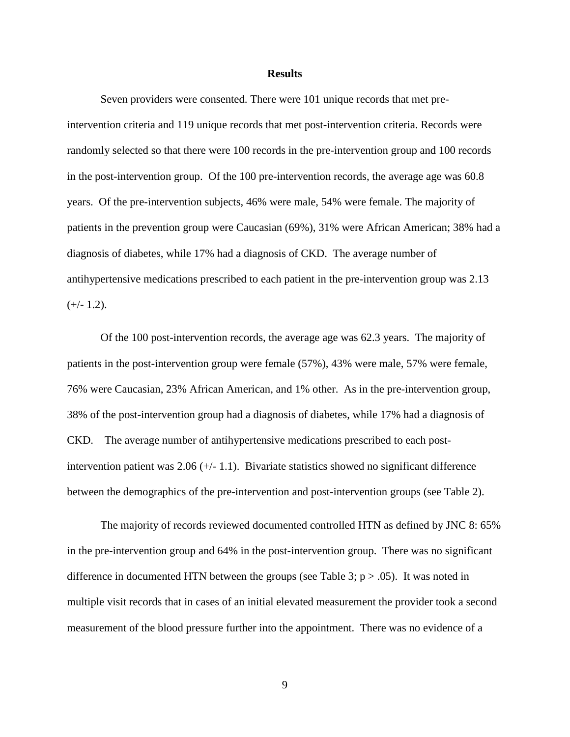#### **Results**

<span id="page-12-0"></span>Seven providers were consented. There were 101 unique records that met preintervention criteria and 119 unique records that met post-intervention criteria. Records were randomly selected so that there were 100 records in the pre-intervention group and 100 records in the post-intervention group. Of the 100 pre-intervention records, the average age was 60.8 years. Of the pre-intervention subjects, 46% were male, 54% were female. The majority of patients in the prevention group were Caucasian (69%), 31% were African American; 38% had a diagnosis of diabetes, while 17% had a diagnosis of CKD. The average number of antihypertensive medications prescribed to each patient in the pre-intervention group was 2.13  $(+/- 1.2)$ .

Of the 100 post-intervention records, the average age was 62.3 years. The majority of patients in the post-intervention group were female (57%), 43% were male, 57% were female, 76% were Caucasian, 23% African American, and 1% other. As in the pre-intervention group, 38% of the post-intervention group had a diagnosis of diabetes, while 17% had a diagnosis of CKD. The average number of antihypertensive medications prescribed to each postintervention patient was  $2.06 (+/- 1.1)$ . Bivariate statistics showed no significant difference between the demographics of the pre-intervention and post-intervention groups (see Table 2).

The majority of records reviewed documented controlled HTN as defined by JNC 8: 65% in the pre-intervention group and 64% in the post-intervention group. There was no significant difference in documented HTN between the groups (see Table 3;  $p > .05$ ). It was noted in multiple visit records that in cases of an initial elevated measurement the provider took a second measurement of the blood pressure further into the appointment. There was no evidence of a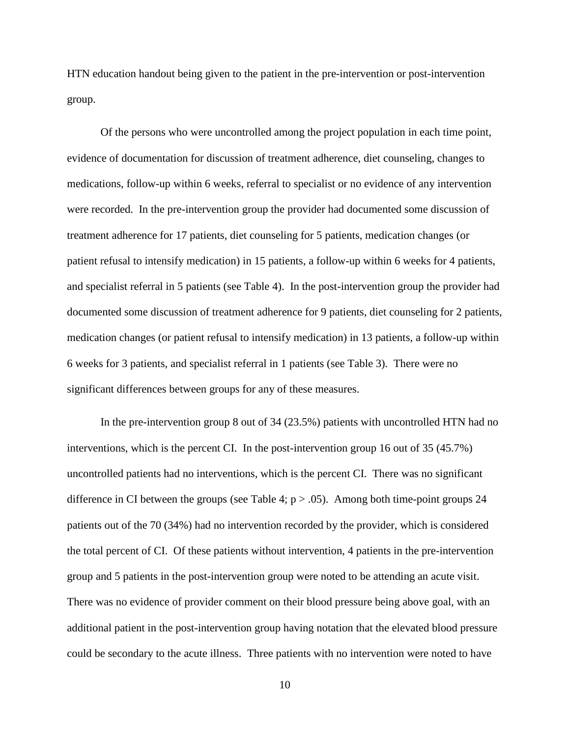HTN education handout being given to the patient in the pre-intervention or post-intervention group.

Of the persons who were uncontrolled among the project population in each time point, evidence of documentation for discussion of treatment adherence, diet counseling, changes to medications, follow-up within 6 weeks, referral to specialist or no evidence of any intervention were recorded. In the pre-intervention group the provider had documented some discussion of treatment adherence for 17 patients, diet counseling for 5 patients, medication changes (or patient refusal to intensify medication) in 15 patients, a follow-up within 6 weeks for 4 patients, and specialist referral in 5 patients (see Table 4). In the post-intervention group the provider had documented some discussion of treatment adherence for 9 patients, diet counseling for 2 patients, medication changes (or patient refusal to intensify medication) in 13 patients, a follow-up within 6 weeks for 3 patients, and specialist referral in 1 patients (see Table 3). There were no significant differences between groups for any of these measures.

In the pre-intervention group 8 out of 34 (23.5%) patients with uncontrolled HTN had no interventions, which is the percent CI. In the post-intervention group 16 out of 35 (45.7%) uncontrolled patients had no interventions, which is the percent CI. There was no significant difference in CI between the groups (see Table 4;  $p > .05$ ). Among both time-point groups 24 patients out of the 70 (34%) had no intervention recorded by the provider, which is considered the total percent of CI. Of these patients without intervention, 4 patients in the pre-intervention group and 5 patients in the post-intervention group were noted to be attending an acute visit. There was no evidence of provider comment on their blood pressure being above goal, with an additional patient in the post-intervention group having notation that the elevated blood pressure could be secondary to the acute illness. Three patients with no intervention were noted to have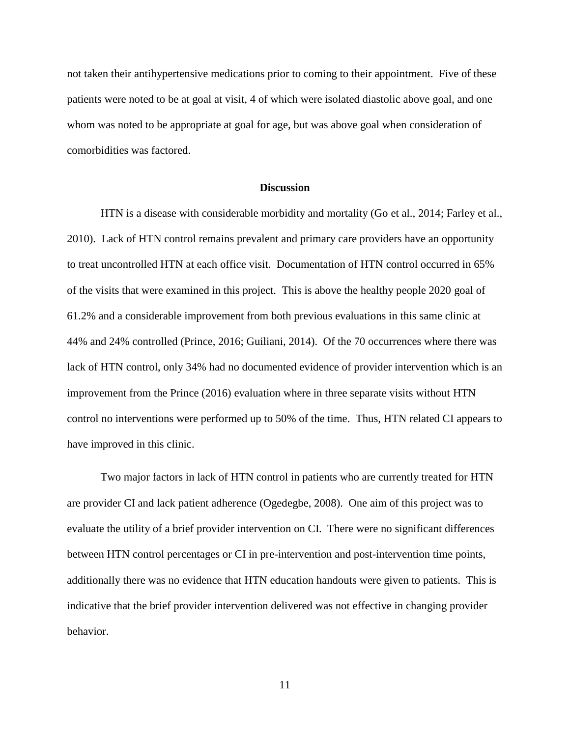not taken their antihypertensive medications prior to coming to their appointment. Five of these patients were noted to be at goal at visit, 4 of which were isolated diastolic above goal, and one whom was noted to be appropriate at goal for age, but was above goal when consideration of comorbidities was factored.

## **Discussion**

<span id="page-14-0"></span>HTN is a disease with considerable morbidity and mortality (Go et al., 2014; Farley et al., 2010). Lack of HTN control remains prevalent and primary care providers have an opportunity to treat uncontrolled HTN at each office visit. Documentation of HTN control occurred in 65% of the visits that were examined in this project. This is above the healthy people 2020 goal of 61.2% and a considerable improvement from both previous evaluations in this same clinic at 44% and 24% controlled (Prince, 2016; Guiliani, 2014). Of the 70 occurrences where there was lack of HTN control, only 34% had no documented evidence of provider intervention which is an improvement from the Prince (2016) evaluation where in three separate visits without HTN control no interventions were performed up to 50% of the time. Thus, HTN related CI appears to have improved in this clinic.

Two major factors in lack of HTN control in patients who are currently treated for HTN are provider CI and lack patient adherence (Ogedegbe, 2008). One aim of this project was to evaluate the utility of a brief provider intervention on CI. There were no significant differences between HTN control percentages or CI in pre-intervention and post-intervention time points, additionally there was no evidence that HTN education handouts were given to patients. This is indicative that the brief provider intervention delivered was not effective in changing provider behavior.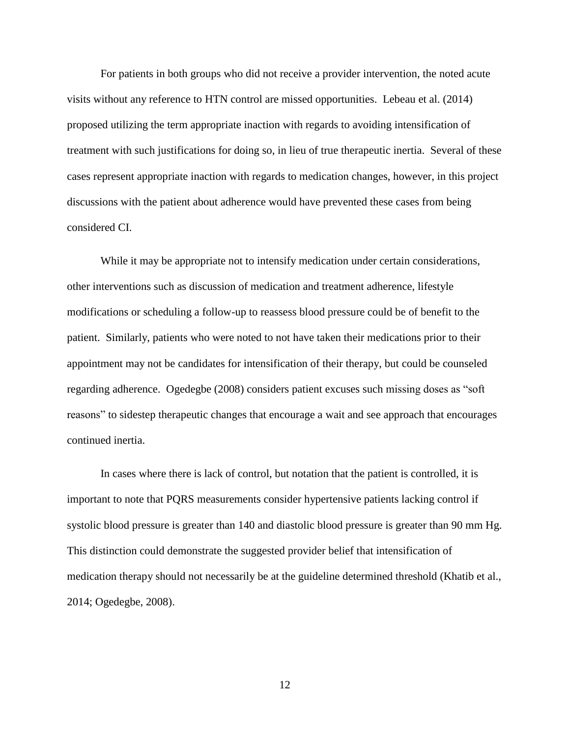For patients in both groups who did not receive a provider intervention, the noted acute visits without any reference to HTN control are missed opportunities. Lebeau et al. (2014) proposed utilizing the term appropriate inaction with regards to avoiding intensification of treatment with such justifications for doing so, in lieu of true therapeutic inertia. Several of these cases represent appropriate inaction with regards to medication changes, however, in this project discussions with the patient about adherence would have prevented these cases from being considered CI.

While it may be appropriate not to intensify medication under certain considerations, other interventions such as discussion of medication and treatment adherence, lifestyle modifications or scheduling a follow-up to reassess blood pressure could be of benefit to the patient. Similarly, patients who were noted to not have taken their medications prior to their appointment may not be candidates for intensification of their therapy, but could be counseled regarding adherence. Ogedegbe (2008) considers patient excuses such missing doses as "soft reasons" to sidestep therapeutic changes that encourage a wait and see approach that encourages continued inertia.

In cases where there is lack of control, but notation that the patient is controlled, it is important to note that PQRS measurements consider hypertensive patients lacking control if systolic blood pressure is greater than 140 and diastolic blood pressure is greater than 90 mm Hg. This distinction could demonstrate the suggested provider belief that intensification of medication therapy should not necessarily be at the guideline determined threshold (Khatib et al., 2014; Ogedegbe, 2008).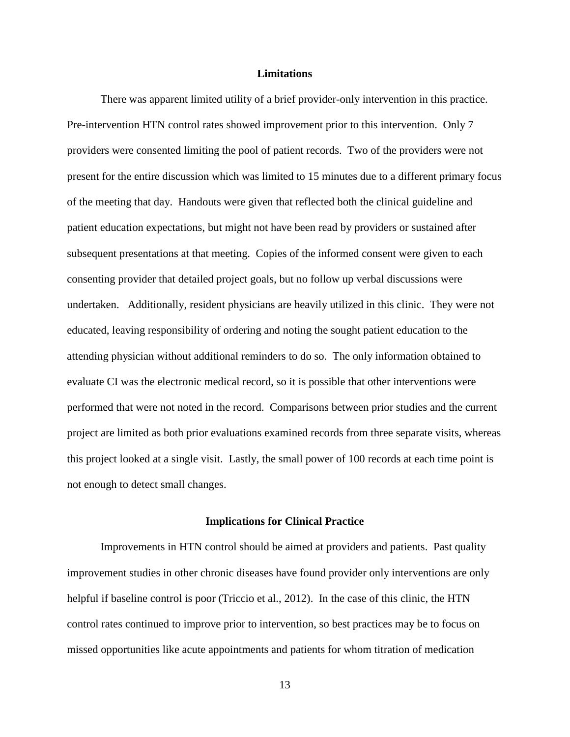## **Limitations**

<span id="page-16-0"></span>There was apparent limited utility of a brief provider-only intervention in this practice. Pre-intervention HTN control rates showed improvement prior to this intervention. Only 7 providers were consented limiting the pool of patient records. Two of the providers were not present for the entire discussion which was limited to 15 minutes due to a different primary focus of the meeting that day. Handouts were given that reflected both the clinical guideline and patient education expectations, but might not have been read by providers or sustained after subsequent presentations at that meeting. Copies of the informed consent were given to each consenting provider that detailed project goals, but no follow up verbal discussions were undertaken. Additionally, resident physicians are heavily utilized in this clinic. They were not educated, leaving responsibility of ordering and noting the sought patient education to the attending physician without additional reminders to do so. The only information obtained to evaluate CI was the electronic medical record, so it is possible that other interventions were performed that were not noted in the record. Comparisons between prior studies and the current project are limited as both prior evaluations examined records from three separate visits, whereas this project looked at a single visit. Lastly, the small power of 100 records at each time point is not enough to detect small changes.

### **Implications for Clinical Practice**

<span id="page-16-1"></span>Improvements in HTN control should be aimed at providers and patients. Past quality improvement studies in other chronic diseases have found provider only interventions are only helpful if baseline control is poor (Triccio et al., 2012). In the case of this clinic, the HTN control rates continued to improve prior to intervention, so best practices may be to focus on missed opportunities like acute appointments and patients for whom titration of medication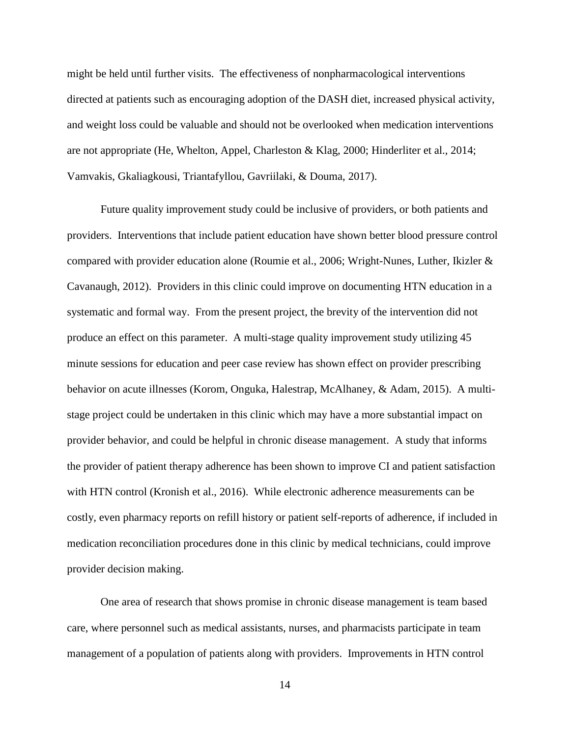might be held until further visits. The effectiveness of nonpharmacological interventions directed at patients such as encouraging adoption of the DASH diet, increased physical activity, and weight loss could be valuable and should not be overlooked when medication interventions are not appropriate (He, Whelton, Appel, Charleston & Klag, 2000; Hinderliter et al., 2014; Vamvakis, Gkaliagkousi, Triantafyllou, Gavriilaki, & Douma, 2017).

Future quality improvement study could be inclusive of providers, or both patients and providers. Interventions that include patient education have shown better blood pressure control compared with provider education alone (Roumie et al., 2006; Wright-Nunes, Luther, Ikizler & Cavanaugh, 2012). Providers in this clinic could improve on documenting HTN education in a systematic and formal way. From the present project, the brevity of the intervention did not produce an effect on this parameter. A multi-stage quality improvement study utilizing 45 minute sessions for education and peer case review has shown effect on provider prescribing behavior on acute illnesses (Korom, Onguka, Halestrap, McAlhaney, & Adam, 2015). A multistage project could be undertaken in this clinic which may have a more substantial impact on provider behavior, and could be helpful in chronic disease management. A study that informs the provider of patient therapy adherence has been shown to improve CI and patient satisfaction with HTN control (Kronish et al., 2016). While electronic adherence measurements can be costly, even pharmacy reports on refill history or patient self-reports of adherence, if included in medication reconciliation procedures done in this clinic by medical technicians, could improve provider decision making.

One area of research that shows promise in chronic disease management is team based care, where personnel such as medical assistants, nurses, and pharmacists participate in team management of a population of patients along with providers. Improvements in HTN control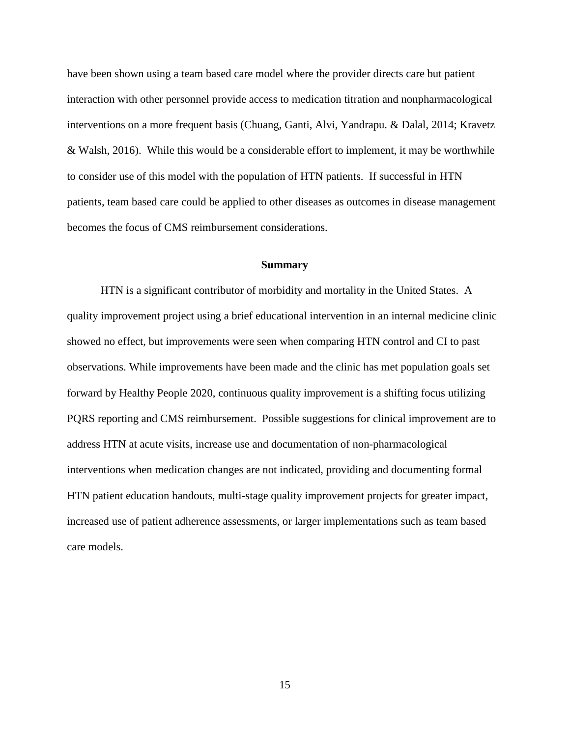have been shown using a team based care model where the provider directs care but patient interaction with other personnel provide access to medication titration and nonpharmacological interventions on a more frequent basis (Chuang, Ganti, Alvi, Yandrapu. & Dalal, 2014; Kravetz & Walsh, 2016). While this would be a considerable effort to implement, it may be worthwhile to consider use of this model with the population of HTN patients. If successful in HTN patients, team based care could be applied to other diseases as outcomes in disease management becomes the focus of CMS reimbursement considerations.

#### **Summary**

<span id="page-18-0"></span>HTN is a significant contributor of morbidity and mortality in the United States. A quality improvement project using a brief educational intervention in an internal medicine clinic showed no effect, but improvements were seen when comparing HTN control and CI to past observations. While improvements have been made and the clinic has met population goals set forward by Healthy People 2020, continuous quality improvement is a shifting focus utilizing PQRS reporting and CMS reimbursement. Possible suggestions for clinical improvement are to address HTN at acute visits, increase use and documentation of non-pharmacological interventions when medication changes are not indicated, providing and documenting formal HTN patient education handouts, multi-stage quality improvement projects for greater impact, increased use of patient adherence assessments, or larger implementations such as team based care models.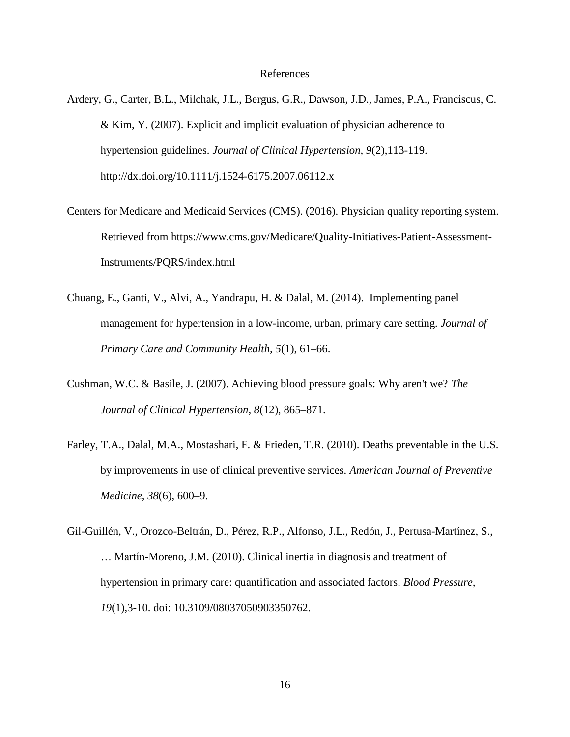### References

- <span id="page-19-0"></span>Ardery, G., Carter, B.L., Milchak, J.L., Bergus, G.R., Dawson, J.D., James, P.A., Franciscus, C. & Kim, Y. (2007). Explicit and implicit evaluation of physician adherence to hypertension guidelines. *Journal of Clinical Hypertension, 9*(2),113-119. http://dx.doi.org/10.1111/j.1524-6175.2007.06112.x
- Centers for Medicare and Medicaid Services (CMS). (2016). Physician quality reporting system. Retrieved from https://www.cms.gov/Medicare/Quality-Initiatives-Patient-Assessment-Instruments/PQRS/index.html
- Chuang, E., Ganti, V., Alvi, A., Yandrapu, H. & Dalal, M. (2014). Implementing panel management for hypertension in a low-income, urban, primary care setting. *Journal of Primary Care and Community Health, 5*(1), 61–66.
- Cushman, W.C. & Basile, J. (2007). Achieving blood pressure goals: Why aren't we? *The Journal of Clinical Hypertension, 8*(12), 865–871.
- Farley, T.A., Dalal, M.A., Mostashari, F. & Frieden, T.R. (2010). Deaths preventable in the U.S. by improvements in use of clinical preventive services. *American Journal of Preventive Medicine, 38*(6), 600–9.
- Gil-Guillén, V., Orozco-Beltrán, D., Pérez, R.P., Alfonso, J.L., Redón, J., Pertusa-Martínez, S., … Martín-Moreno, J.M. (2010). Clinical inertia in diagnosis and treatment of hypertension in primary care: quantification and associated factors. *Blood Pressure, 19*(1),3-10. doi: 10.3109/08037050903350762.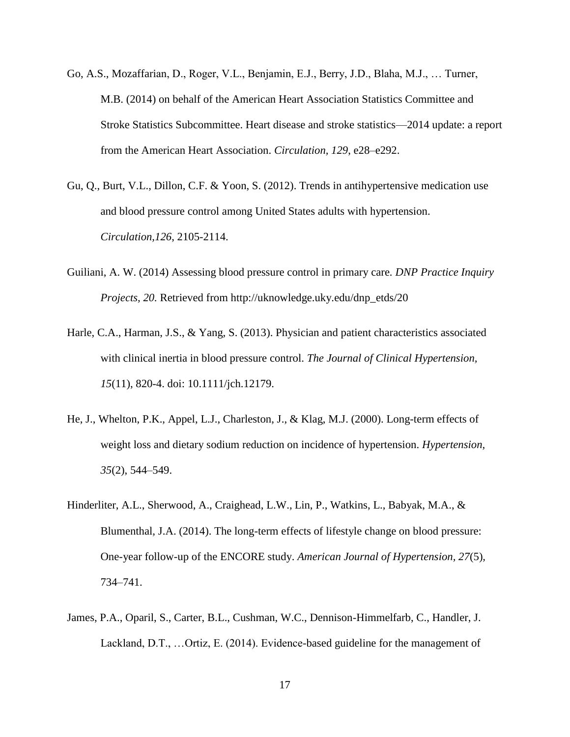- Go, A.S., Mozaffarian, D., Roger, V.L., Benjamin, E.J., Berry, J.D., Blaha, M.J., … Turner, M.B. (2014) on behalf of the American Heart Association Statistics Committee and Stroke Statistics Subcommittee. Heart disease and stroke statistics—2014 update: a report from the American Heart Association. *Circulation, 129*, e28–e292.
- Gu, Q., Burt, V.L., Dillon, C.F. & Yoon, S. (2012). Trends in antihypertensive medication use and blood pressure control among United States adults with hypertension. *Circulation,126*, 2105-2114.
- Guiliani, A. W. (2014) Assessing blood pressure control in primary care*. DNP Practice Inquiry Projects, 20.* Retrieved from http://uknowledge.uky.edu/dnp\_etds/20
- Harle, C.A., Harman, J.S., & Yang, S. (2013). Physician and patient characteristics associated with clinical inertia in blood pressure control. *The Journal of Clinical Hypertension, 15*(11), 820-4. doi: 10.1111/jch.12179.
- He, J., Whelton, P.K., Appel, L.J., Charleston, J., & Klag, M.J. (2000). Long-term effects of weight loss and dietary sodium reduction on incidence of hypertension. *Hypertension, 35*(2), 544–549.
- Hinderliter, A.L., Sherwood, A., Craighead, L.W., Lin, P., Watkins, L., Babyak, M.A., & Blumenthal, J.A. (2014). The long-term effects of lifestyle change on blood pressure: One-year follow-up of the ENCORE study. *American Journal of Hypertension, 27*(5)*,* 734–741.
- James, P.A., Oparil, S., Carter, B.L., Cushman, W.C., Dennison-Himmelfarb, C., Handler, J. Lackland, D.T., …Ortiz, E. (2014). Evidence-based guideline for the management of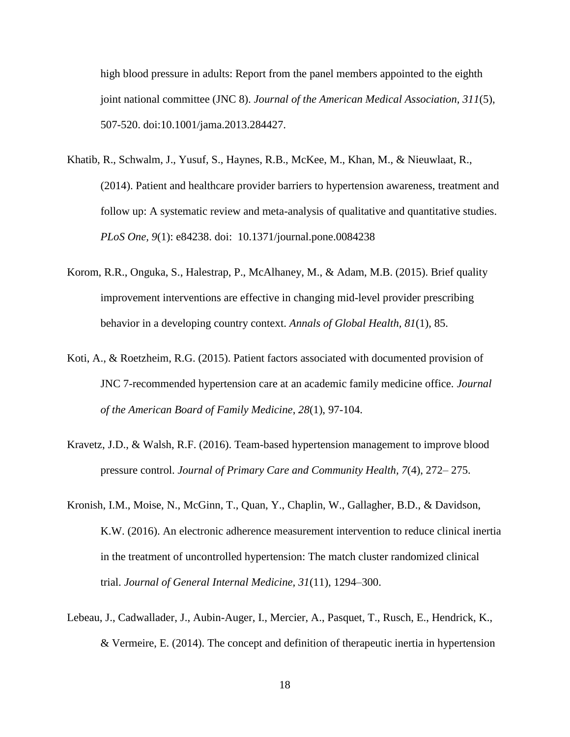high blood pressure in adults: Report from the panel members appointed to the eighth joint national committee (JNC 8). *Journal of the American Medical Association, 311*(5), 507-520. doi:10.1001/jama.2013.284427.

- Khatib, R., Schwalm, J., Yusuf, S., Haynes, R.B., McKee, M., Khan, M., & Nieuwlaat, R., (2014). Patient and healthcare provider barriers to hypertension awareness, treatment and follow up: A systematic review and meta-analysis of qualitative and quantitative studies. *PLoS One, 9*(1): e84238. doi: 10.1371/journal.pone.0084238
- Korom, R.R., Onguka, S., Halestrap, P., McAlhaney, M., & Adam, M.B. (2015). Brief quality improvement interventions are effective in changing mid-level provider prescribing behavior in a developing country context. *Annals of Global Health, 81*(1), 85.
- Koti, A., & Roetzheim, R.G. (2015). Patient factors associated with documented provision of JNC 7-recommended hypertension care at an academic family medicine office. *Journal of the American Board of Family Medicine*, *28*(1), 97-104.
- Kravetz, J.D., & Walsh, R.F. (2016). Team-based hypertension management to improve blood pressure control. *Journal of Primary Care and Community Health, 7*(4), 272– 275.
- Kronish, I.M., Moise, N., McGinn, T., Quan, Y., Chaplin, W., Gallagher, B.D., & Davidson, K.W. (2016). An electronic adherence measurement intervention to reduce clinical inertia in the treatment of uncontrolled hypertension: The match cluster randomized clinical trial. *Journal of General Internal Medicine, 31*(11), 1294–300.
- Lebeau, J., Cadwallader, J., Aubin-Auger, I., Mercier, A., Pasquet, T., Rusch, E., Hendrick, K., & Vermeire, E. (2014). The concept and definition of therapeutic inertia in hypertension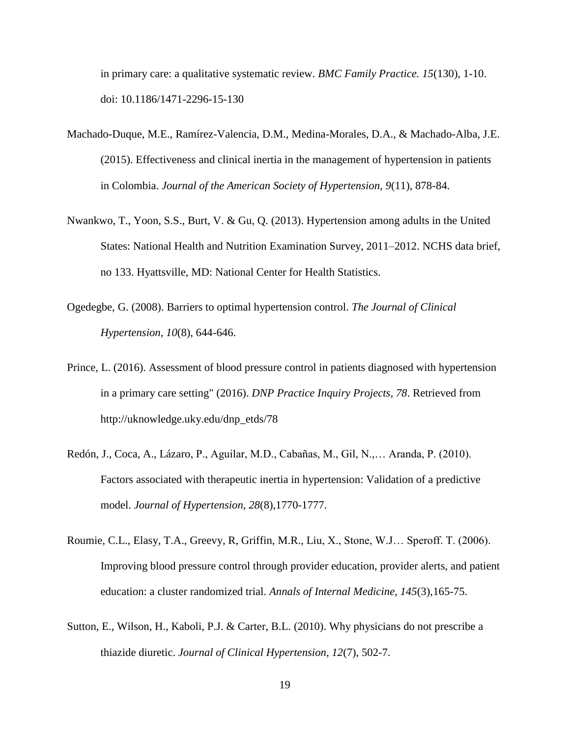in primary care: a qualitative systematic review. *BMC Family Practice. 15*(130), 1-10. doi: 10.1186/1471-2296-15-130

- Machado-Duque, M.E., Ramírez-Valencia, D.M., Medina-Morales, D.A., & Machado-Alba, J.E. (2015). Effectiveness and clinical inertia in the management of hypertension in patients in Colombia. *Journal of the American Society of Hypertension, 9*(11), 878-84.
- Nwankwo, T., Yoon, S.S., Burt, V. & Gu, Q. (2013). Hypertension among adults in the United States: National Health and Nutrition Examination Survey, 2011–2012. NCHS data brief, no 133. Hyattsville, MD: National Center for Health Statistics.
- Ogedegbe, G. (2008). Barriers to optimal hypertension control. *The Journal of Clinical Hypertension, 10*(8), 644-646.
- Prince, L. (2016). Assessment of blood pressure control in patients diagnosed with hypertension in a primary care setting" (2016). *DNP Practice Inquiry Projects, 78*. Retrieved from http://uknowledge.uky.edu/dnp\_etds/78
- Redón, J., Coca, A., Lázaro, P., Aguilar, M.D., Cabañas, M., Gil, N.,… Aranda, P. (2010). Factors associated with therapeutic inertia in hypertension: Validation of a predictive model. *Journal of Hypertension, 28*(8),1770-1777.
- Roumie, C.L., Elasy, T.A., Greevy, R, Griffin, M.R., Liu, X., Stone, W.J… Speroff. T. (2006). Improving blood pressure control through provider education, provider alerts, and patient education: a cluster randomized trial. *Annals of Internal Medicine, 145*(3),165-75.
- Sutton, E., Wilson, H., Kaboli, P.J. & Carter, B.L. (2010). Why physicians do not prescribe a thiazide diuretic. *Journal of Clinical Hypertension, 12*(7), 502-7.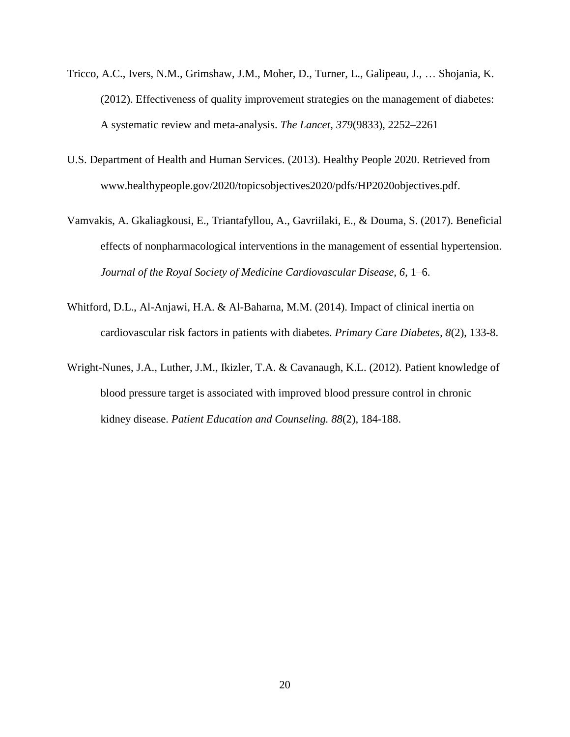- Tricco, A.C., Ivers, N.M., Grimshaw, J.M., Moher, D., Turner, L., Galipeau, J., … Shojania, K. (2012). Effectiveness of quality improvement strategies on the management of diabetes: A systematic review and meta-analysis. *The Lancet, 379*(9833), 2252–2261
- U.S. Department of Health and Human Services. (2013). Healthy People 2020. Retrieved from www.healthypeople.gov/2020/topicsobjectives2020/pdfs/HP2020objectives.pdf.
- Vamvakis, A. Gkaliagkousi, E., Triantafyllou, A., Gavriilaki, E., & Douma, S. (2017). Beneficial effects of nonpharmacological interventions in the management of essential hypertension. *Journal of the Royal Society of Medicine Cardiovascular Disease, 6*, 1–6.
- Whitford, D.L., Al-Anjawi, H.A. & Al-Baharna, M.M. (2014). Impact of clinical inertia on cardiovascular risk factors in patients with diabetes. *Primary Care Diabetes, 8*(2), 133-8.
- Wright-Nunes, J.A., Luther, J.M., Ikizler, T.A. & Cavanaugh, K.L. (2012). Patient knowledge of blood pressure target is associated with improved blood pressure control in chronic kidney disease. *Patient Education and Counseling. 88*(2), 184-188.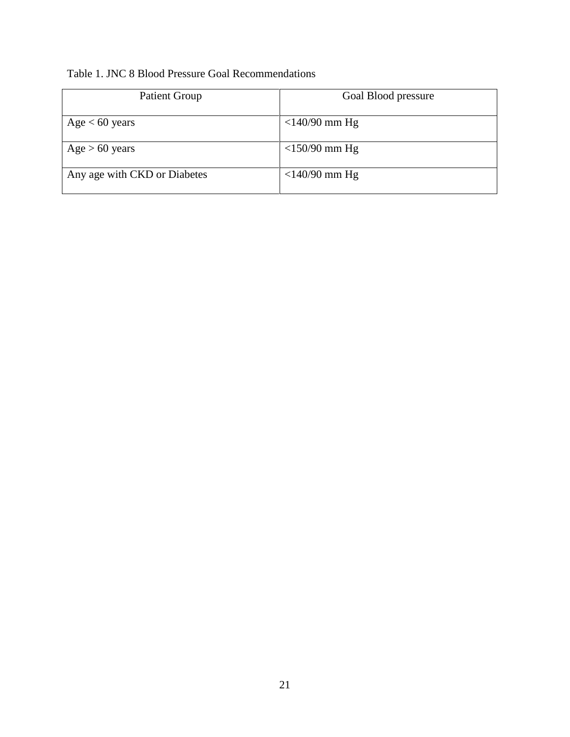## <span id="page-24-0"></span>Table 1. JNC 8 Blood Pressure Goal Recommendations

<span id="page-24-1"></span>

| Patient Group                | Goal Blood pressure |
|------------------------------|---------------------|
| Age $< 60$ years             | $<$ 140/90 mm Hg    |
| Age > 60 years               | $<$ 150/90 mm Hg    |
| Any age with CKD or Diabetes | $<$ 140/90 mm Hg    |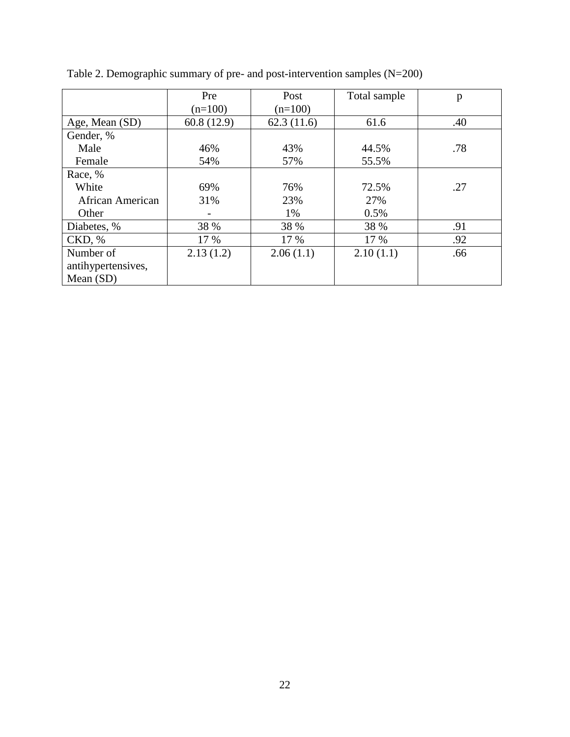<span id="page-25-0"></span>

|                    | Pre        | Post       | Total sample | p   |
|--------------------|------------|------------|--------------|-----|
|                    | $(n=100)$  | $(n=100)$  |              |     |
| Age, Mean (SD)     | 60.8(12.9) | 62.3(11.6) | 61.6         | .40 |
| Gender, %          |            |            |              |     |
| Male               | 46%        | 43%        | 44.5%        | .78 |
| Female             | 54%        | 57%        | 55.5%        |     |
| Race, %            |            |            |              |     |
| White              | 69%        | 76%        | 72.5%        | .27 |
| African American   | 31%        | 23%        | 27%          |     |
| Other              |            | 1%         | 0.5%         |     |
| Diabetes, %        | 38 %       | 38 %       | 38 %         | .91 |
| CKD, %             | 17 %       | 17 %       | 17 %         | .92 |
| Number of          | 2.13(1.2)  | 2.06(1.1)  | 2.10(1.1)    | .66 |
| antihypertensives, |            |            |              |     |
| Mean $(SD)$        |            |            |              |     |

Table 2. Demographic summary of pre- and post-intervention samples (N=200)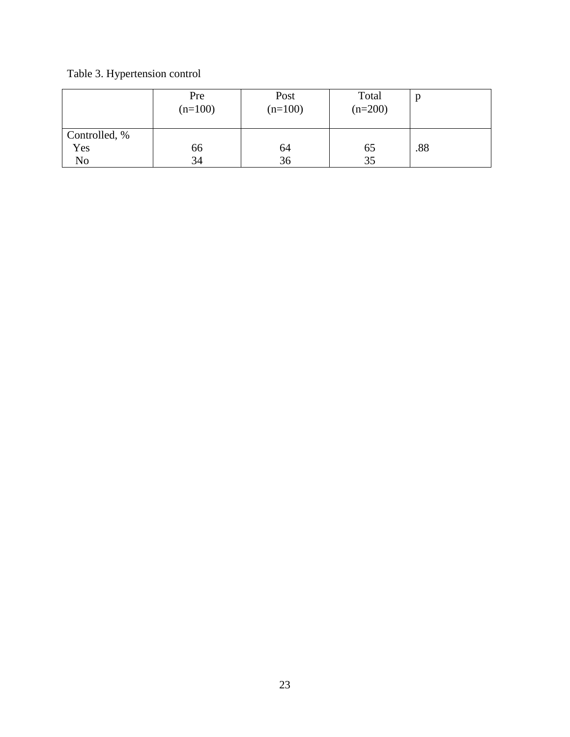Table 3. Hypertension control

<span id="page-26-0"></span>

|               | Pre<br>$(n=100)$ | Post<br>$(n=100)$ | Total<br>$(n=200)$ |     |
|---------------|------------------|-------------------|--------------------|-----|
| Controlled, % |                  |                   |                    |     |
| Yes           | 66               | 64                | 65                 | .88 |
| No            | 34               | 36                | 35                 |     |